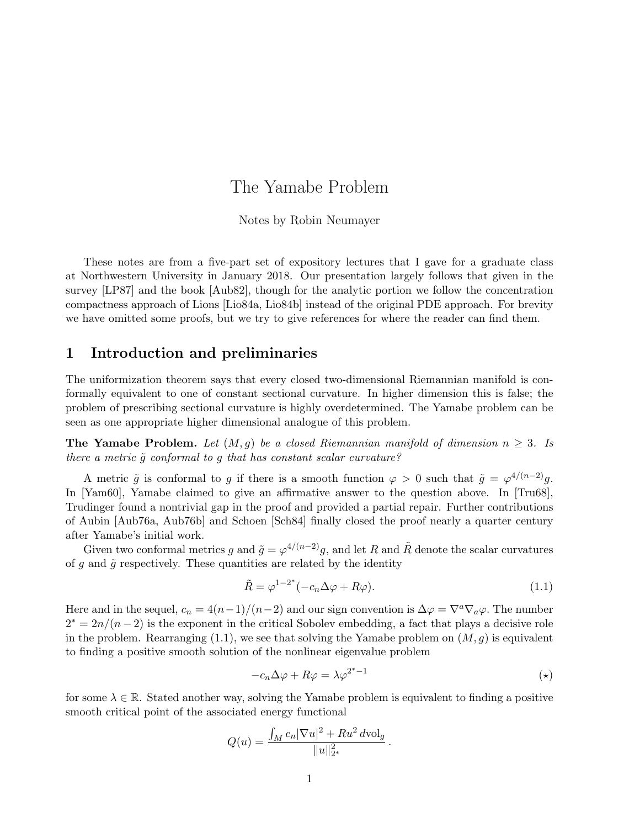# The Yamabe Problem

#### Notes by Robin Neumayer

These notes are from a five-part set of expository lectures that I gave for a graduate class at Northwestern University in January 2018. Our presentation largely follows that given in the survey [LP87] and the book [Aub82], though for the analytic portion we follow the concentration compactness approach of Lions [Lio84a, Lio84b] instead of the original PDE approach. For brevity we have omitted some proofs, but we try to give references for where the reader can find them.

### 1 Introduction and preliminaries

The uniformization theorem says that every closed two-dimensional Riemannian manifold is conformally equivalent to one of constant sectional curvature. In higher dimension this is false; the problem of prescribing sectional curvature is highly overdetermined. The Yamabe problem can be seen as one appropriate higher dimensional analogue of this problem.

The Yamabe Problem. Let  $(M, g)$  be a closed Riemannian manifold of dimension  $n \geq 3$ . Is there a metric  $\tilde{g}$  conformal to g that has constant scalar curvature?

A metric  $\tilde{g}$  is conformal to g if there is a smooth function  $\varphi > 0$  such that  $\tilde{g} = \varphi^{4/(n-2)}g$ . In [Yam60], Yamabe claimed to give an affirmative answer to the question above. In [Tru68], Trudinger found a nontrivial gap in the proof and provided a partial repair. Further contributions of Aubin [Aub76a, Aub76b] and Schoen [Sch84] finally closed the proof nearly a quarter century after Yamabe's initial work.

Given two conformal metrics g and  $\tilde{g} = \varphi^{4/(n-2)}g$ , and let R and  $\tilde{R}$  denote the scalar curvatures of  $g$  and  $\tilde{g}$  respectively. These quantities are related by the identity

$$
\tilde{R} = \varphi^{1-2^*}(-c_n \Delta \varphi + R\varphi). \tag{1.1}
$$

Here and in the sequel,  $c_n = 4(n-1)/(n-2)$  and our sign convention is  $\Delta \varphi = \nabla^a \nabla_a \varphi$ . The number  $2^* = 2n/(n-2)$  is the exponent in the critical Sobolev embedding, a fact that plays a decisive role in the problem. Rearranging  $(1.1)$ , we see that solving the Yamabe problem on  $(M, g)$  is equivalent to finding a positive smooth solution of the nonlinear eigenvalue problem

$$
-c_n \Delta \varphi + R\varphi = \lambda \varphi^{2^*-1}
$$
 (\*)

.

for some  $\lambda \in \mathbb{R}$ . Stated another way, solving the Yamabe problem is equivalent to finding a positive smooth critical point of the associated energy functional

$$
Q(u) = \frac{\int_M c_n |\nabla u|^2 + R u^2 d\text{vol}_g}{\|u\|_{2^*}^2}
$$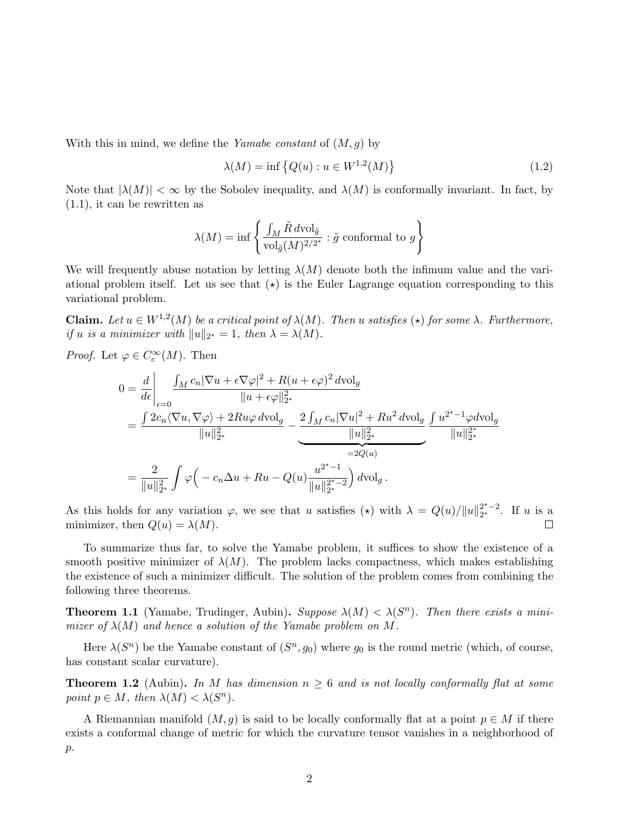With this in mind, we define the Yamabe constant of  $(M, g)$  by

$$
\lambda(M) = \inf \left\{ Q(u) : u \in W^{1,2}(M) \right\} \tag{1.2}
$$

Note that  $|\lambda(M)| < \infty$  by the Sobolev inequality, and  $\lambda(M)$  is conformally invariant. In fact, by (1.1), it can be rewritten as

$$
\lambda(M) = \inf \left\{ \frac{\int_M \tilde{R} d\text{vol}_{\tilde{g}}}{\text{vol}_{\tilde{g}}(M)^{2/2^*}} : \tilde{g} \text{ conformal to } g \right\}
$$

We will frequently abuse notation by letting  $\lambda(M)$  denote both the infimum value and the variational problem itself. Let us see that  $(\star)$  is the Euler Lagrange equation corresponding to this variational problem.

**Claim.** Let  $u \in W^{1,2}(M)$  be a critical point of  $\lambda(M)$ . Then u satisfies  $(\star)$  for some  $\lambda$ . Furthermore, if u is a minimizer with  $||u||_{2^*} = 1$ , then  $\lambda = \lambda(M)$ .

*Proof.* Let  $\varphi \in C_c^{\infty}(M)$ . Then

$$
0 = \frac{d}{d\epsilon} \Biggl|_{\epsilon=0} \frac{\int_M c_n |\nabla u + \epsilon \nabla \varphi|^2 + R(u + \epsilon \varphi)^2 d\text{vol}_g}{\|u + \epsilon \varphi\|_{2^*}^2} \Biggr|_{\epsilon=0} = \frac{\int 2c_n \langle \nabla u, \nabla \varphi \rangle + 2Ru\varphi d\text{vol}_g}{\|u\|_{2^*}^2} - \underbrace{\frac{2\int_M c_n |\nabla u|^2 + Ru^2 d\text{vol}_g}{\|u\|_{2^*}^2}}_{=2Q(u)} \frac{\int u^{2^*-1} \varphi d\text{vol}_g}{\|u\|_{2^*}^{2^*}} \frac{\{u^{2^*-1} \varphi d\text{vol}_g}{\|u\|_{2^*}^{2^*}}}{\|u\|_{2^*}^{2^*}} \Biggr) \frac{du}{\|u\|_{2^*}^{2^*}}.
$$

As this holds for any variation  $\varphi$ , we see that u satisfies  $(\star)$  with  $\lambda = Q(u)/||u||_{2^*}^{2^*-2}$ . If u is a minimizer, then  $Q(u) = \lambda(M)$ .  $\Box$ 

To summarize thus far, to solve the Yamabe problem, it suffices to show the existence of a smooth positive minimizer of  $\lambda(M)$ . The problem lacks compactness, which makes establishing the existence of such a minimizer difficult. The solution of the problem comes from combining the following three theorems.

**Theorem 1.1** (Yamabe, Trudinger, Aubin). Suppose  $\lambda(M) < \lambda(S^n)$ . Then there exists a minimizer of  $\lambda(M)$  and hence a solution of the Yamabe problem on M.

Here  $\lambda(S^n)$  be the Yamabe constant of  $(S^n, g_0)$  where  $g_0$  is the round metric (which, of course, has constant scalar curvature).

**Theorem 1.2** (Aubin). In M has dimension  $n \geq 6$  and is not locally conformally flat at some point  $p \in M$ , then  $\lambda(M) < \lambda(S^n)$ .

A Riemannian manifold  $(M, g)$  is said to be locally conformally flat at a point  $p \in M$  if there exists a conformal change of metric for which the curvature tensor vanishes in a neighborhood of p.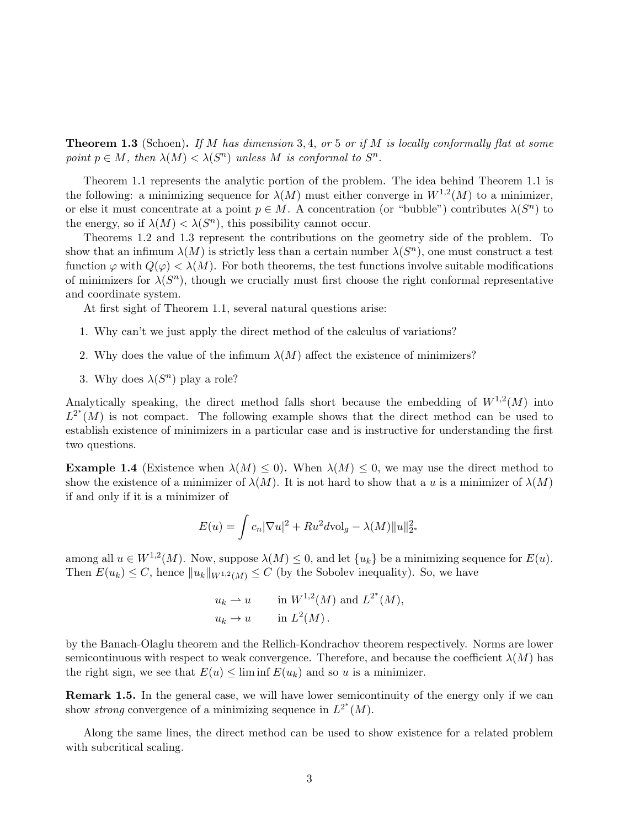**Theorem 1.3** (Schoen). If M has dimension 3, 4, or 5 or if M is locally conformally flat at some point  $p \in M$ , then  $\lambda(M) < \lambda(S^n)$  unless M is conformal to  $S^n$ .

Theorem 1.1 represents the analytic portion of the problem. The idea behind Theorem 1.1 is the following: a minimizing sequence for  $\lambda(M)$  must either converge in  $W^{1,2}(M)$  to a minimizer, or else it must concentrate at a point  $p \in M$ . A concentration (or "bubble") contributes  $\lambda(S^n)$  to the energy, so if  $\lambda(M) < \lambda(S^n)$ , this possibility cannot occur.

Theorems 1.2 and 1.3 represent the contributions on the geometry side of the problem. To show that an infimum  $\lambda(M)$  is strictly less than a certain number  $\lambda(S^n)$ , one must construct a test function  $\varphi$  with  $Q(\varphi) < \lambda(M)$ . For both theorems, the test functions involve suitable modifications of minimizers for  $\lambda(S^n)$ , though we crucially must first choose the right conformal representative and coordinate system.

At first sight of Theorem 1.1, several natural questions arise:

- 1. Why can't we just apply the direct method of the calculus of variations?
- 2. Why does the value of the infimum  $\lambda(M)$  affect the existence of minimizers?
- 3. Why does  $\lambda(S^n)$  play a role?

Analytically speaking, the direct method falls short because the embedding of  $W^{1,2}(M)$  into  $L^{2^*}(M)$  is not compact. The following example shows that the direct method can be used to establish existence of minimizers in a particular case and is instructive for understanding the first two questions.

**Example 1.4** (Existence when  $\lambda(M) \leq 0$ ). When  $\lambda(M) \leq 0$ , we may use the direct method to show the existence of a minimizer of  $\lambda(M)$ . It is not hard to show that a u is a minimizer of  $\lambda(M)$ if and only if it is a minimizer of

$$
E(u) = \int c_n |\nabla u|^2 + Ru^2 d\mathrm{vol}_g - \lambda(M) ||u||_{2^*}^2
$$

among all  $u \in W^{1,2}(M)$ . Now, suppose  $\lambda(M) \leq 0$ , and let  $\{u_k\}$  be a minimizing sequence for  $E(u)$ . Then  $E(u_k) \leq C$ , hence  $||u_k||_{W^{1,2}(M)} \leq C$  (by the Sobolev inequality). So, we have

$$
u_k \rightharpoonup u
$$
 in  $W^{1,2}(M)$  and  $L^{2^*}(M)$ ,  
\n $u_k \rightharpoonup u$  in  $L^2(M)$ .

by the Banach-Olaglu theorem and the Rellich-Kondrachov theorem respectively. Norms are lower semicontinuous with respect to weak convergence. Therefore, and because the coefficient  $\lambda(M)$  has the right sign, we see that  $E(u) \leq \liminf E(u_k)$  and so u is a minimizer.

Remark 1.5. In the general case, we will have lower semicontinuity of the energy only if we can show *strong* convergence of a minimizing sequence in  $L^{2^*}(M)$ .

Along the same lines, the direct method can be used to show existence for a related problem with subcritical scaling.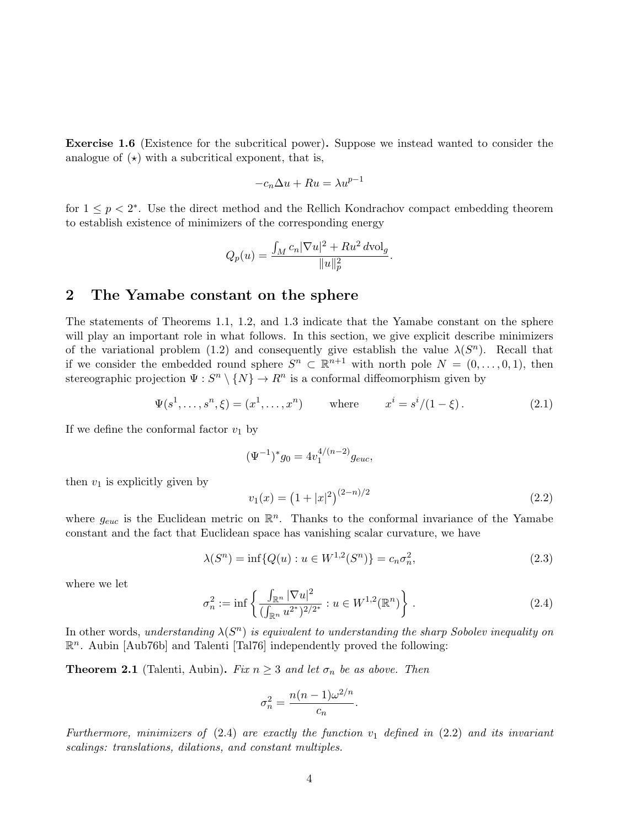Exercise 1.6 (Existence for the subcritical power). Suppose we instead wanted to consider the analogue of  $(\star)$  with a subcritical exponent, that is,

$$
-c_n \Delta u + Ru = \lambda u^{p-1}
$$

for  $1 \leq p < 2^*$ . Use the direct method and the Rellich Kondrachov compact embedding theorem to establish existence of minimizers of the corresponding energy

$$
Q_p(u) = \frac{\int_M c_n |\nabla u|^2 + Ru^2 \, d\text{vol}_g}{\|u\|_p^2}.
$$

### 2 The Yamabe constant on the sphere

The statements of Theorems 1.1, 1.2, and 1.3 indicate that the Yamabe constant on the sphere will play an important role in what follows. In this section, we give explicit describe minimizers of the variational problem (1.2) and consequently give establish the value  $\lambda(S^n)$ . Recall that if we consider the embedded round sphere  $S^n \subset \mathbb{R}^{n+1}$  with north pole  $N = (0, \ldots, 0, 1)$ , then stereographic projection  $\Psi: S^n \setminus \{N\} \to R^n$  is a conformal diffeomorphism given by

$$
\Psi(s^1, \dots, s^n, \xi) = (x^1, \dots, x^n)
$$
 where  $x^i = s^i/(1 - \xi)$ . (2.1)

If we define the conformal factor  $v_1$  by

$$
(\Psi^{-1})^* g_0 = 4v_1^{4/(n-2)} g_{euc},
$$

then  $v_1$  is explicitly given by

$$
v_1(x) = \left(1 + |x|^2\right)^{(2-n)/2} \tag{2.2}
$$

where  $g_{euc}$  is the Euclidean metric on  $\mathbb{R}^n$ . Thanks to the conformal invariance of the Yamabe constant and the fact that Euclidean space has vanishing scalar curvature, we have

$$
\lambda(S^n) = \inf \{ Q(u) : u \in W^{1,2}(S^n) \} = c_n \sigma_n^2,
$$
\n(2.3)

where we let

$$
\sigma_n^2 := \inf \left\{ \frac{\int_{\mathbb{R}^n} |\nabla u|^2}{(\int_{\mathbb{R}^n} u^{2^*})^{2/2^*}} : u \in W^{1,2}(\mathbb{R}^n) \right\}.
$$
 (2.4)

In other words, understanding  $\lambda(S^n)$  is equivalent to understanding the sharp Sobolev inequality on  $\mathbb{R}^n$ . Aubin [Aub76b] and Talenti [Tal76] independently proved the following:

**Theorem 2.1** (Talenti, Aubin). Fix  $n \geq 3$  and let  $\sigma_n$  be as above. Then

$$
\sigma_n^2 = \frac{n(n-1)\omega^{2/n}}{c_n}.
$$

Furthermore, minimizers of  $(2.4)$  are exactly the function  $v_1$  defined in  $(2.2)$  and its invariant scalings: translations, dilations, and constant multiples.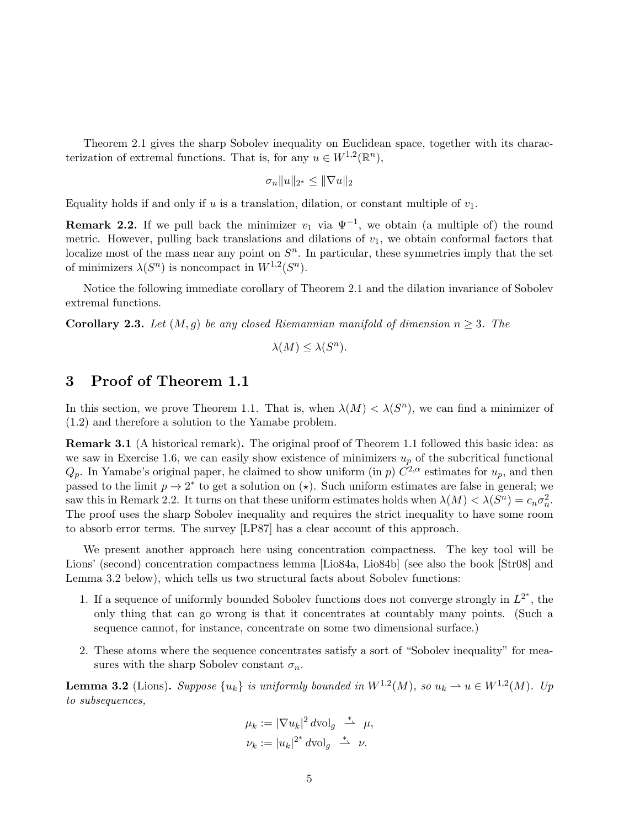Theorem 2.1 gives the sharp Sobolev inequality on Euclidean space, together with its characterization of extremal functions. That is, for any  $u \in W^{1,2}(\mathbb{R}^n)$ ,

$$
\sigma_n \|u\|_{2^*} \le \|\nabla u\|_2
$$

Equality holds if and only if u is a translation, dilation, or constant multiple of  $v_1$ .

**Remark 2.2.** If we pull back the minimizer  $v_1$  via  $\Psi^{-1}$ , we obtain (a multiple of) the round metric. However, pulling back translations and dilations of  $v_1$ , we obtain conformal factors that localize most of the mass near any point on  $S<sup>n</sup>$ . In particular, these symmetries imply that the set of minimizers  $\lambda(S^n)$  is noncompact in  $W^{1,2}(S^n)$ .

Notice the following immediate corollary of Theorem 2.1 and the dilation invariance of Sobolev extremal functions.

**Corollary 2.3.** Let  $(M, g)$  be any closed Riemannian manifold of dimension  $n \geq 3$ . The

$$
\lambda(M) \le \lambda(S^n).
$$

# 3 Proof of Theorem 1.1

In this section, we prove Theorem 1.1. That is, when  $\lambda(M) < \lambda(S^n)$ , we can find a minimizer of (1.2) and therefore a solution to the Yamabe problem.

Remark 3.1 (A historical remark). The original proof of Theorem 1.1 followed this basic idea: as we saw in Exercise 1.6, we can easily show existence of minimizers  $u_p$  of the subcritical functional  $Q_p$ . In Yamabe's original paper, he claimed to show uniform (in p)  $C^{2,\alpha}$  estimates for  $u_p$ , and then passed to the limit  $p \to 2^*$  to get a solution on  $(\star)$ . Such uniform estimates are false in general; we saw this in Remark 2.2. It turns on that these uniform estimates holds when  $\lambda(M) < \lambda(S^n) = c_n \sigma_n^2$ . The proof uses the sharp Sobolev inequality and requires the strict inequality to have some room to absorb error terms. The survey [LP87] has a clear account of this approach.

We present another approach here using concentration compactness. The key tool will be Lions' (second) concentration compactness lemma [Lio84a, Lio84b] (see also the book [Str08] and Lemma 3.2 below), which tells us two structural facts about Sobolev functions:

- 1. If a sequence of uniformly bounded Sobolev functions does not converge strongly in  $L^{2^*}$ , the only thing that can go wrong is that it concentrates at countably many points. (Such a sequence cannot, for instance, concentrate on some two dimensional surface.)
- 2. These atoms where the sequence concentrates satisfy a sort of "Sobolev inequality" for measures with the sharp Sobolev constant  $\sigma_n$ .

**Lemma 3.2** (Lions). Suppose  $\{u_k\}$  is uniformly bounded in  $W^{1,2}(M)$ , so  $u_k \rightharpoonup u \in W^{1,2}(M)$ . Up to subsequences,

$$
\mu_k := |\nabla u_k|^2 \, d\text{vol}_g \stackrel{*}{\rightharpoonup} \mu,
$$
  

$$
\nu_k := |u_k|^{2^*} \, d\text{vol}_g \stackrel{*}{\rightharpoonup} \nu.
$$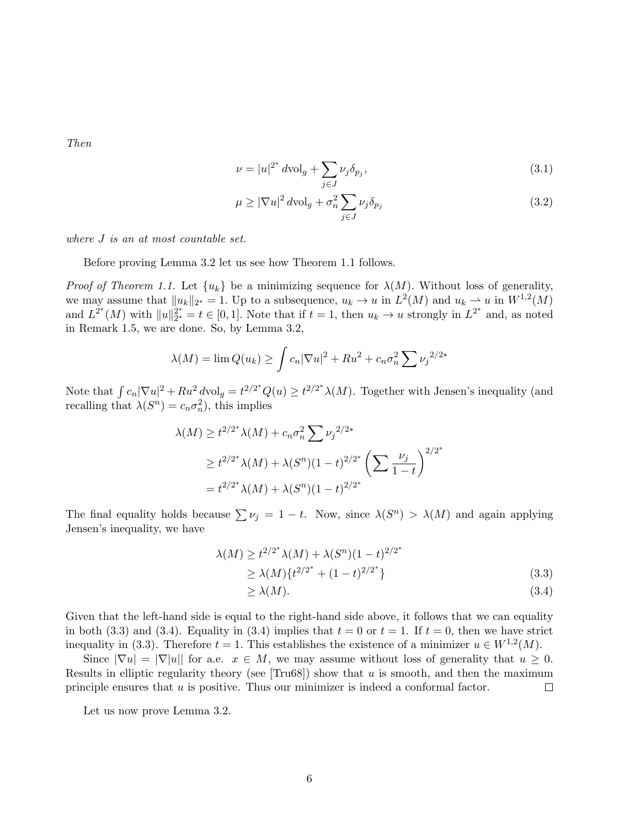Then

$$
\nu = |u|^{2^*} d\text{vol}_g + \sum_{j \in J} \nu_j \delta_{p_j},\tag{3.1}
$$

$$
\mu \ge |\nabla u|^2 \, d\text{vol}_g + \sigma_n^2 \sum_{j \in J} \nu_j \delta_{p_j} \tag{3.2}
$$

where J is an at most countable set.

Before proving Lemma 3.2 let us see how Theorem 1.1 follows.

*Proof of Theorem 1.1.* Let  $\{u_k\}$  be a minimizing sequence for  $\lambda(M)$ . Without loss of generality, we may assume that  $||u_k||_{2^*} = 1$ . Up to a subsequence,  $u_k \to u$  in  $L^2(M)$  and  $u_k \to u$  in  $W^{1,2}(M)$ and  $L^{2^*}(M)$  with  $||u||_{2^*}^{2^*}$  $2^{2^*}_{2^*} = t \in [0,1].$  Note that if  $t = 1$ , then  $u_k \to u$  strongly in  $L^{2^*}$  and, as noted in Remark 1.5, we are done. So, by Lemma 3.2,

$$
\lambda(M) = \lim Q(u_k) \ge \int c_n |\nabla u|^2 + Ru^2 + c_n \sigma_n^2 \sum \nu_j^{2/2*}
$$

Note that  $\int c_n |\nabla u|^2 + Ru^2 dv \log \frac{1}{2} t^{2/2^*} Q(u) \geq t^{2/2^*} \lambda(M)$ . Together with Jensen's inequality (and recalling that  $\lambda(S^n) = c_n \sigma_n^2$ , this implies

$$
\lambda(M) \ge t^{2/2^*} \lambda(M) + c_n \sigma_n^2 \sum \nu_j^{2/2^*}
$$
  
 
$$
\ge t^{2/2^*} \lambda(M) + \lambda(S^n)(1-t)^{2/2^*} \left(\sum \frac{\nu_j}{1-t}\right)^{2/2^*}
$$
  
=  $t^{2/2^*} \lambda(M) + \lambda(S^n)(1-t)^{2/2^*}$ 

The final equality holds because  $\sum \nu_j = 1 - t$ . Now, since  $\lambda(S^n) > \lambda(M)$  and again applying Jensen's inequality, we have

$$
\lambda(M) \ge t^{2/2^*} \lambda(M) + \lambda(S^n)(1-t)^{2/2^*} \ge \lambda(M) \{ t^{2/2^*} + (1-t)^{2/2^*} \}
$$
\n(3.3)

$$
\geq \lambda(M). \tag{3.4}
$$

Given that the left-hand side is equal to the right-hand side above, it follows that we can equality in both (3.3) and (3.4). Equality in (3.4) implies that  $t = 0$  or  $t = 1$ . If  $t = 0$ , then we have strict inequality in (3.3). Therefore  $t = 1$ . This establishes the existence of a minimizer  $u \in W^{1,2}(M)$ .

Since  $|\nabla u| = |\nabla |u|$  for a.e.  $x \in M$ , we may assume without loss of generality that  $u \geq 0$ . Results in elliptic regularity theory (see  $[Tru68]$ ) show that u is smooth, and then the maximum principle ensures that u is positive. Thus our minimizer is indeed a conformal factor.  $\Box$ 

Let us now prove Lemma 3.2.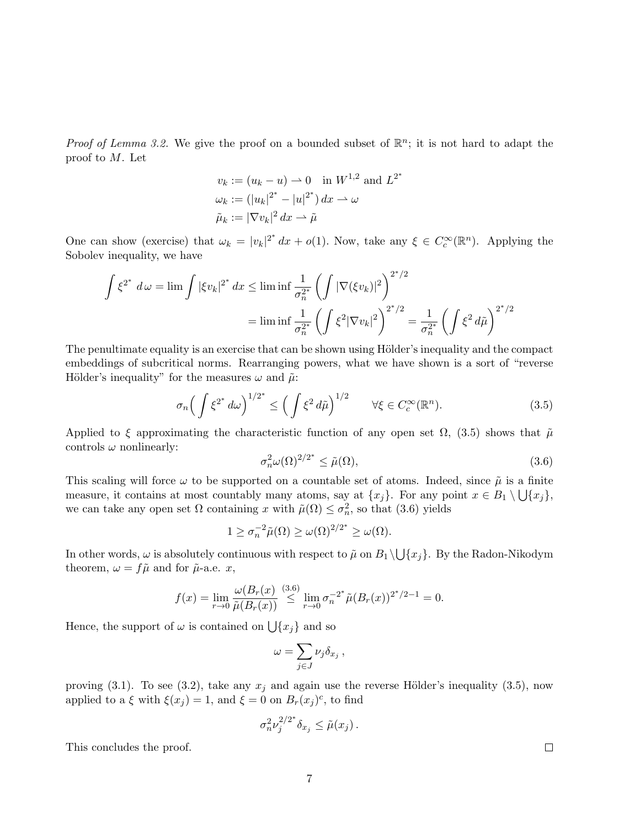*Proof of Lemma 3.2.* We give the proof on a bounded subset of  $\mathbb{R}^n$ ; it is not hard to adapt the proof to M. Let

$$
v_k := (u_k - u) \to 0
$$
 in  $W^{1,2}$  and  $L^{2^*}$   
\n $\omega_k := (|u_k|^{2^*} - |u|^{2^*}) dx \to \omega$   
\n $\tilde{\mu}_k := |\nabla v_k|^2 dx \to \tilde{\mu}$ 

One can show (exercise) that  $\omega_k = |v_k|^{2^*} dx + o(1)$ . Now, take any  $\xi \in C_c^{\infty}(\mathbb{R}^n)$ . Applying the Sobolev inequality, we have

$$
\int \xi^{2^*} d\omega = \lim \int |\xi v_k|^{2^*} dx \le \liminf \frac{1}{\sigma_n^{2^*}} \left( \int |\nabla(\xi v_k)|^2 \right)^{2^*/2}
$$

$$
= \liminf \frac{1}{\sigma_n^{2^*}} \left( \int \xi^2 |\nabla v_k|^2 \right)^{2^*/2} = \frac{1}{\sigma_n^{2^*}} \left( \int \xi^2 d\tilde{\mu} \right)^{2^*/2}
$$

The penultimate equality is an exercise that can be shown using Hölder's inequality and the compact embeddings of subcritical norms. Rearranging powers, what we have shown is a sort of "reverse Hölder's inequality" for the measures  $\omega$  and  $\tilde{\mu}$ :

$$
\sigma_n \Big( \int \xi^{2^*} \, d\omega \Big)^{1/2^*} \le \Big( \int \xi^2 \, d\tilde{\mu} \Big)^{1/2} \qquad \forall \xi \in C_c^\infty(\mathbb{R}^n). \tag{3.5}
$$

Applied to  $\xi$  approximating the characteristic function of any open set  $\Omega$ , (3.5) shows that  $\tilde{\mu}$ controls  $\omega$  nonlinearly:

$$
\sigma_n^2 \omega(\Omega)^{2/2^*} \le \tilde{\mu}(\Omega),\tag{3.6}
$$

This scaling will force  $\omega$  to be supported on a countable set of atoms. Indeed, since  $\tilde{\mu}$  is a finite measure, it contains at most countably many atoms, say at  $\{x_j\}$ . For any point  $x \in B_1 \setminus \bigcup \{x_j\}$ , we can take any open set  $\Omega$  containing x with  $\tilde{\mu}(\Omega) \leq \sigma_n^2$ , so that (3.6) yields

$$
1 \ge \sigma_n^{-2} \tilde{\mu}(\Omega) \ge \omega(\Omega)^{2/2^*} \ge \omega(\Omega).
$$

In other words,  $\omega$  is absolutely continuous with respect to  $\tilde{\mu}$  on  $B_1 \setminus \bigcup \{x_j\}$ . By the Radon-Nikodym theorem,  $\omega = f\tilde{\mu}$  and for  $\tilde{\mu}$ -a.e. x,

$$
f(x) = \lim_{r \to 0} \frac{\omega(B_r(x))}{\tilde{\mu}(B_r(x))} \stackrel{(3.6)}{\leq} \lim_{r \to 0} \sigma_n^{-2^*} \tilde{\mu}(B_r(x))^{2^*/2-1} = 0.
$$

Hence, the support of  $\omega$  is contained on  $\bigcup \{x_j\}$  and so

$$
\omega = \sum_{j \in J} \nu_j \delta_{x_j} ,
$$

proving (3.1). To see (3.2), take any  $x_j$  and again use the reverse Hölder's inequality (3.5), now applied to a  $\xi$  with  $\xi(x_j) = 1$ , and  $\xi = 0$  on  $B_r(x_j)^c$ , to find

$$
\sigma_n^2 \nu_j^{2/2^*} \delta_{x_j} \leq \tilde{\mu}(x_j) .
$$

This concludes the proof.

 $\Box$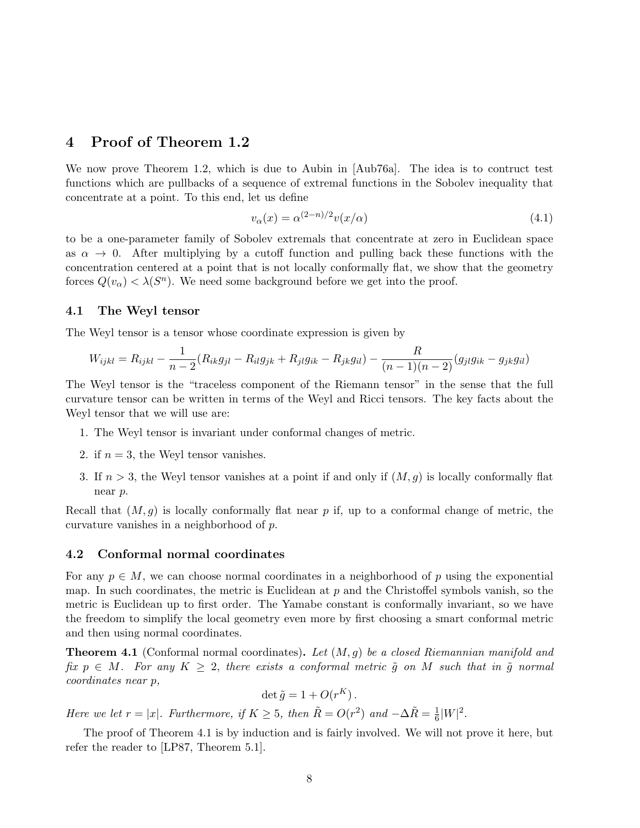# 4 Proof of Theorem 1.2

We now prove Theorem 1.2, which is due to Aubin in [Aub76a]. The idea is to contruct test functions which are pullbacks of a sequence of extremal functions in the Sobolev inequality that concentrate at a point. To this end, let us define

$$
v_{\alpha}(x) = \alpha^{(2-n)/2} v(x/\alpha) \tag{4.1}
$$

to be a one-parameter family of Sobolev extremals that concentrate at zero in Euclidean space as  $\alpha \to 0$ . After multiplying by a cutoff function and pulling back these functions with the concentration centered at a point that is not locally conformally flat, we show that the geometry forces  $Q(v_\alpha) < \lambda(S^n)$ . We need some background before we get into the proof.

#### 4.1 The Weyl tensor

The Weyl tensor is a tensor whose coordinate expression is given by

$$
W_{ijkl} = R_{ijkl} - \frac{1}{n-2}(R_{ik}g_{jl} - R_{il}g_{jk} + R_{jl}g_{ik} - R_{jk}g_{il}) - \frac{R}{(n-1)(n-2)}(g_{jl}g_{ik} - g_{jk}g_{il})
$$

The Weyl tensor is the "traceless component of the Riemann tensor" in the sense that the full curvature tensor can be written in terms of the Weyl and Ricci tensors. The key facts about the Weyl tensor that we will use are:

- 1. The Weyl tensor is invariant under conformal changes of metric.
- 2. if  $n = 3$ , the Weyl tensor vanishes.
- 3. If  $n > 3$ , the Weyl tensor vanishes at a point if and only if  $(M, g)$  is locally conformally flat near p.

Recall that  $(M, g)$  is locally conformally flat near p if, up to a conformal change of metric, the curvature vanishes in a neighborhood of p.

#### 4.2 Conformal normal coordinates

For any  $p \in M$ , we can choose normal coordinates in a neighborhood of p using the exponential map. In such coordinates, the metric is Euclidean at  $p$  and the Christoffel symbols vanish, so the metric is Euclidean up to first order. The Yamabe constant is conformally invariant, so we have the freedom to simplify the local geometry even more by first choosing a smart conformal metric and then using normal coordinates.

**Theorem 4.1** (Conformal normal coordinates). Let  $(M, g)$  be a closed Riemannian manifold and fix  $p \in M$ . For any  $K \geq 2$ , there exists a conformal metric  $\tilde{q}$  on M such that in  $\tilde{q}$  normal coordinates near p,

$$
\det \tilde{g} = 1 + O(r^K).
$$

Here we let  $r = |x|$ . Furthermore, if  $K \geq 5$ , then  $\tilde{R} = O(r^2)$  and  $-\Delta \tilde{R} = \frac{1}{6}$  $\frac{1}{6}|W|^{2}.$ 

The proof of Theorem 4.1 is by induction and is fairly involved. We will not prove it here, but refer the reader to [LP87, Theorem 5.1].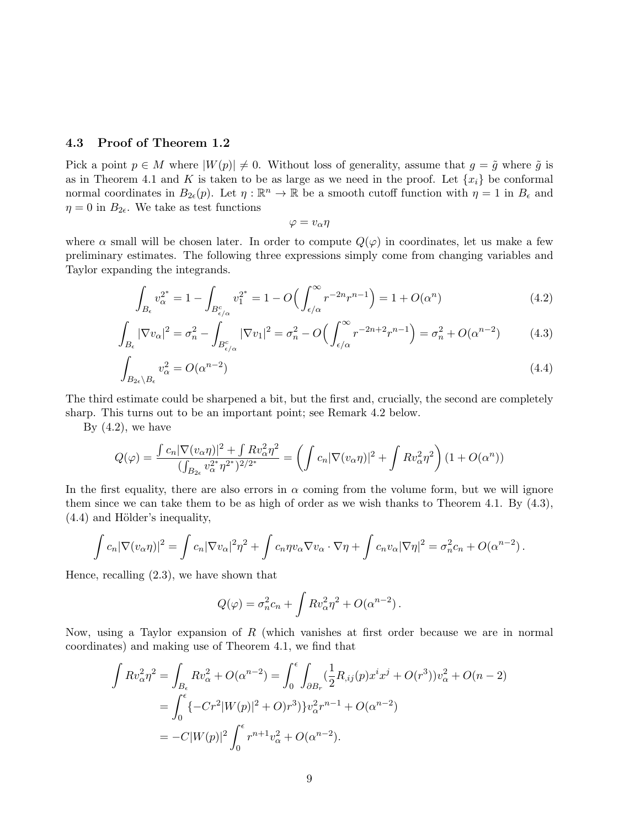#### 4.3 Proof of Theorem 1.2

Pick a point  $p \in M$  where  $|W(p)| \neq 0$ . Without loss of generality, assume that  $g = \tilde{g}$  where  $\tilde{g}$  is as in Theorem 4.1 and K is taken to be as large as we need in the proof. Let  $\{x_i\}$  be conformal normal coordinates in  $B_{2\epsilon}(p)$ . Let  $\eta : \mathbb{R}^n \to \mathbb{R}$  be a smooth cutoff function with  $\eta = 1$  in  $B_{\epsilon}$  and  $\eta = 0$  in  $B_{2\epsilon}$ . We take as test functions

$$
\varphi = v_\alpha \eta
$$

where  $\alpha$  small will be chosen later. In order to compute  $Q(\varphi)$  in coordinates, let us make a few preliminary estimates. The following three expressions simply come from changing variables and Taylor expanding the integrands.

$$
\int_{B_{\epsilon}} v_{\alpha}^{2^*} = 1 - \int_{B_{\epsilon/\alpha}^c} v_1^{2^*} = 1 - O\Big(\int_{\epsilon/\alpha}^{\infty} r^{-2n} r^{n-1}\Big) = 1 + O(\alpha^n) \tag{4.2}
$$

$$
\int_{B_{\epsilon}} |\nabla v_{\alpha}|^2 = \sigma_n^2 - \int_{B_{\epsilon/\alpha}^c} |\nabla v_1|^2 = \sigma_n^2 - O\left(\int_{\epsilon/\alpha}^{\infty} r^{-2n+2} r^{n-1}\right) = \sigma_n^2 + O(\alpha^{n-2})\tag{4.3}
$$

$$
\int_{B_{2\epsilon}\setminus B_{\epsilon}} v_{\alpha}^2 = O(\alpha^{n-2})
$$
\n(4.4)

The third estimate could be sharpened a bit, but the first and, crucially, the second are completely sharp. This turns out to be an important point; see Remark 4.2 below.

By  $(4.2)$ , we have

$$
Q(\varphi) = \frac{\int c_n |\nabla(v_{\alpha}\eta)|^2 + \int Rv_{\alpha}^2 \eta^2}{(\int_{B_{2\epsilon}} v_{\alpha}^{2*} \eta^{2*})^{2/2*}} = \left(\int c_n |\nabla(v_{\alpha}\eta)|^2 + \int Rv_{\alpha}^2 \eta^2\right) (1 + O(\alpha^n))
$$

In the first equality, there are also errors in  $\alpha$  coming from the volume form, but we will ignore them since we can take them to be as high of order as we wish thanks to Theorem 4.1. By (4.3),  $(4.4)$  and Hölder's inequality,

$$
\int c_n |\nabla (v_\alpha \eta)|^2 = \int c_n |\nabla v_\alpha|^2 \eta^2 + \int c_n \eta v_\alpha \nabla v_\alpha \cdot \nabla \eta + \int c_n v_\alpha |\nabla \eta|^2 = \sigma_n^2 c_n + O(\alpha^{n-2}).
$$

Hence, recalling (2.3), we have shown that

$$
Q(\varphi) = \sigma_n^2 c_n + \int R v_\alpha^2 \eta^2 + O(\alpha^{n-2}).
$$

Now, using a Taylor expansion of  $R$  (which vanishes at first order because we are in normal coordinates) and making use of Theorem 4.1, we find that

$$
\int Rv_{\alpha}^{2}\eta^{2} = \int_{B_{\epsilon}} Rv_{\alpha}^{2} + O(\alpha^{n-2}) = \int_{0}^{\epsilon} \int_{\partial B_{r}} (\frac{1}{2}R_{,ij}(p)x^{i}x^{j} + O(r^{3}))v_{\alpha}^{2} + O(n-2)
$$
  
= 
$$
\int_{0}^{\epsilon} \{-Cr^{2}|W(p)|^{2} + O(r^{3})\}v_{\alpha}^{2}r^{n-1} + O(\alpha^{n-2})
$$
  
= 
$$
-C|W(p)|^{2} \int_{0}^{\epsilon} r^{n+1}v_{\alpha}^{2} + O(\alpha^{n-2}).
$$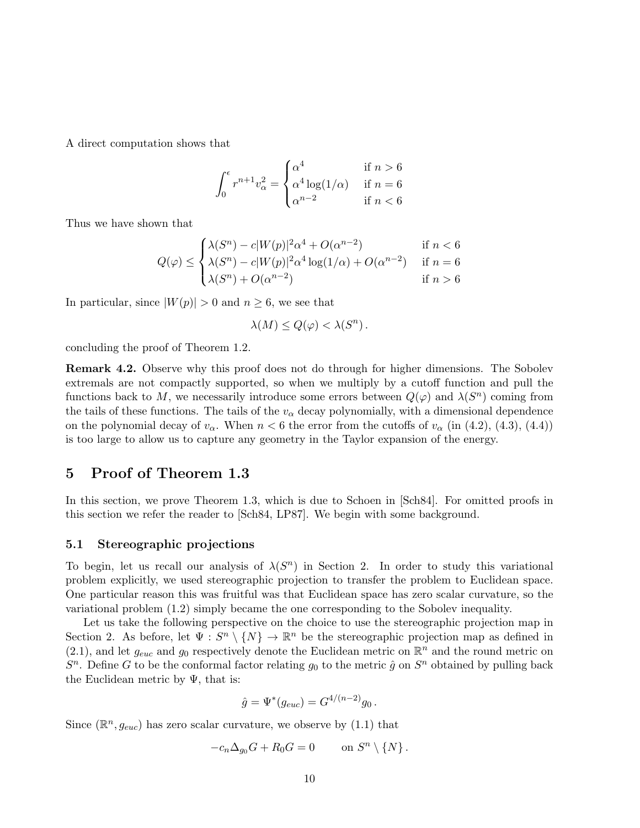A direct computation shows that

$$
\int_0^{\epsilon} r^{n+1} v_{\alpha}^2 = \begin{cases} \alpha^4 & \text{if } n > 6\\ \alpha^4 \log(1/\alpha) & \text{if } n = 6\\ \alpha^{n-2} & \text{if } n < 6 \end{cases}
$$

Thus we have shown that

$$
Q(\varphi) \le \begin{cases} \lambda(S^n) - c|W(p)|^2 \alpha^4 + O(\alpha^{n-2}) & \text{if } n < 6\\ \lambda(S^n) - c|W(p)|^2 \alpha^4 \log(1/\alpha) + O(\alpha^{n-2}) & \text{if } n = 6\\ \lambda(S^n) + O(\alpha^{n-2}) & \text{if } n > 6 \end{cases}
$$

In particular, since  $|W(p)| > 0$  and  $n \geq 6$ , we see that

$$
\lambda(M) \le Q(\varphi) < \lambda(S^n) \, .
$$

concluding the proof of Theorem 1.2.

Remark 4.2. Observe why this proof does not do through for higher dimensions. The Sobolev extremals are not compactly supported, so when we multiply by a cutoff function and pull the functions back to M, we necessarily introduce some errors between  $Q(\varphi)$  and  $\lambda(S^n)$  coming from the tails of these functions. The tails of the  $v_{\alpha}$  decay polynomially, with a dimensional dependence on the polynomial decay of  $v_{\alpha}$ . When  $n < 6$  the error from the cutoffs of  $v_{\alpha}$  (in (4.2), (4.3), (4.4)) is too large to allow us to capture any geometry in the Taylor expansion of the energy.

### 5 Proof of Theorem 1.3

In this section, we prove Theorem 1.3, which is due to Schoen in [Sch84]. For omitted proofs in this section we refer the reader to [Sch84, LP87]. We begin with some background.

#### 5.1 Stereographic projections

To begin, let us recall our analysis of  $\lambda(S^n)$  in Section 2. In order to study this variational problem explicitly, we used stereographic projection to transfer the problem to Euclidean space. One particular reason this was fruitful was that Euclidean space has zero scalar curvature, so the variational problem (1.2) simply became the one corresponding to the Sobolev inequality.

Let us take the following perspective on the choice to use the stereographic projection map in Section 2. As before, let  $\Psi : S^n \setminus \{N\} \to \mathbb{R}^n$  be the stereographic projection map as defined in  $(2.1)$ , and let  $g_{euc}$  and  $g_0$  respectively denote the Euclidean metric on  $\mathbb{R}^n$  and the round metric on  $S<sup>n</sup>$ . Define G to be the conformal factor relating  $g_0$  to the metric  $\hat{g}$  on  $S<sup>n</sup>$  obtained by pulling back the Euclidean metric by  $\Psi$ , that is:

$$
\hat{g} = \Psi^*(g_{euc}) = G^{4/(n-2)}g_0.
$$

Since  $(\mathbb{R}^n, g_{euc})$  has zero scalar curvature, we observe by  $(1.1)$  that

$$
-c_n \Delta_{g_0} G + R_0 G = 0 \qquad \text{on } S^n \setminus \{N\}.
$$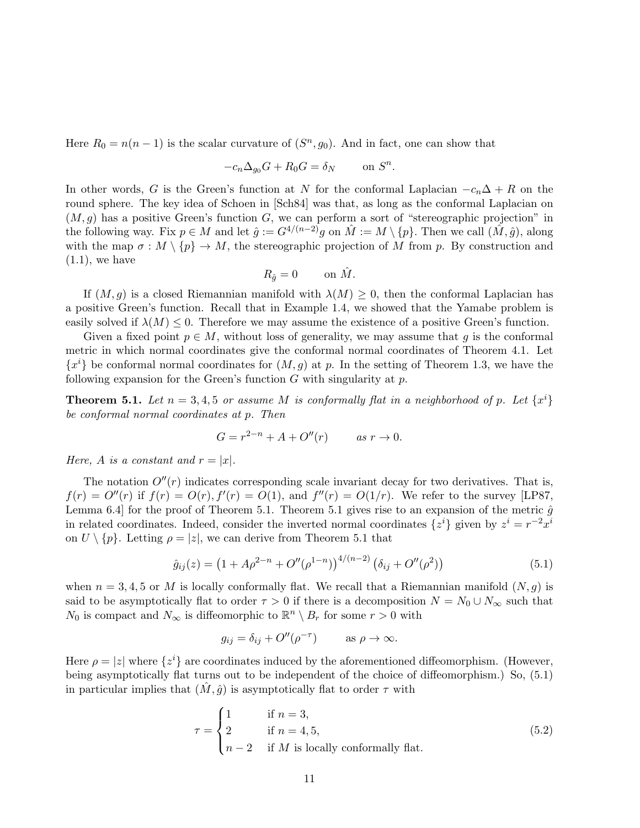Here  $R_0 = n(n-1)$  is the scalar curvature of  $(S<sup>n</sup>, g<sub>0</sub>)$ . And in fact, one can show that

$$
-c_n \Delta_{g_0} G + R_0 G = \delta_N \qquad \text{on } S^n.
$$

In other words, G is the Green's function at N for the conformal Laplacian  $-c_n\Delta + R$  on the round sphere. The key idea of Schoen in [Sch84] was that, as long as the conformal Laplacian on  $(M, g)$  has a positive Green's function G, we can perform a sort of "stereographic projection" in the following way. Fix  $p \in M$  and let  $\hat{q} := G^{4/(n-2)}q$  on  $\hat{M} := M \setminus \{p\}$ . Then we call  $(\hat{M}, \hat{q})$ , along with the map  $\sigma : M \setminus \{p\} \to M$ , the stereographic projection of M from p. By construction and  $(1.1)$ , we have

$$
R_{\hat{g}} = 0 \qquad \text{on } \hat{M}.
$$

If  $(M, q)$  is a closed Riemannian manifold with  $\lambda(M) \geq 0$ , then the conformal Laplacian has a positive Green's function. Recall that in Example 1.4, we showed that the Yamabe problem is easily solved if  $\lambda(M) \leq 0$ . Therefore we may assume the existence of a positive Green's function.

Given a fixed point  $p \in M$ , without loss of generality, we may assume that g is the conformal metric in which normal coordinates give the conformal normal coordinates of Theorem 4.1. Let  ${x<sup>i</sup>}$  be conformal normal coordinates for  $(M, g)$  at p. In the setting of Theorem 1.3, we have the following expansion for the Green's function  $G$  with singularity at  $p$ .

**Theorem 5.1.** Let  $n = 3, 4, 5$  or assume M is conformally flat in a neighborhood of p. Let  $\{x^i\}$ be conformal normal coordinates at p. Then

$$
G = r^{2-n} + A + O''(r) \qquad \text{as } r \to 0.
$$

Here, A is a constant and  $r = |x|$ .

The notation  $O''(r)$  indicates corresponding scale invariant decay for two derivatives. That is,  $f(r) = O''(r)$  if  $f(r) = O(r)$ ,  $f'(r) = O(1)$ , and  $f''(r) = O(1/r)$ . We refer to the survey [LP87, Lemma 6.4 for the proof of Theorem 5.1. Theorem 5.1 gives rise to an expansion of the metric  $\hat{g}$ in related coordinates. Indeed, consider the inverted normal coordinates  $\{z^i\}$  given by  $z^i = r^{-2}x^i$ on  $U \setminus \{p\}$ . Letting  $\rho = |z|$ , we can derive from Theorem 5.1 that

$$
\hat{g}_{ij}(z) = \left(1 + A\rho^{2-n} + O''(\rho^{1-n})\right)^{4/(n-2)}\left(\delta_{ij} + O''(\rho^2)\right)
$$
\n(5.1)

when  $n = 3, 4, 5$  or M is locally conformally flat. We recall that a Riemannian manifold  $(N, g)$  is said to be asymptotically flat to order  $\tau > 0$  if there is a decomposition  $N = N_0 \cup N_\infty$  such that  $N_0$  is compact and  $N_{\infty}$  is diffeomorphic to  $\mathbb{R}^n \setminus B_r$  for some  $r > 0$  with

$$
g_{ij} = \delta_{ij} + O''(\rho^{-\tau}) \qquad \text{as } \rho \to \infty.
$$

Here  $\rho = |z|$  where  $\{z^i\}$  are coordinates induced by the aforementioned diffeomorphism. (However, being asymptotically flat turns out to be independent of the choice of diffeomorphism.) So, (5.1) in particular implies that  $(M, \hat{g})$  is asymptotically flat to order  $\tau$  with

$$
\tau = \begin{cases}\n1 & \text{if } n = 3, \\
2 & \text{if } n = 4, 5, \\
n - 2 & \text{if } M \text{ is locally conformally flat.} \n\end{cases}
$$
\n(5.2)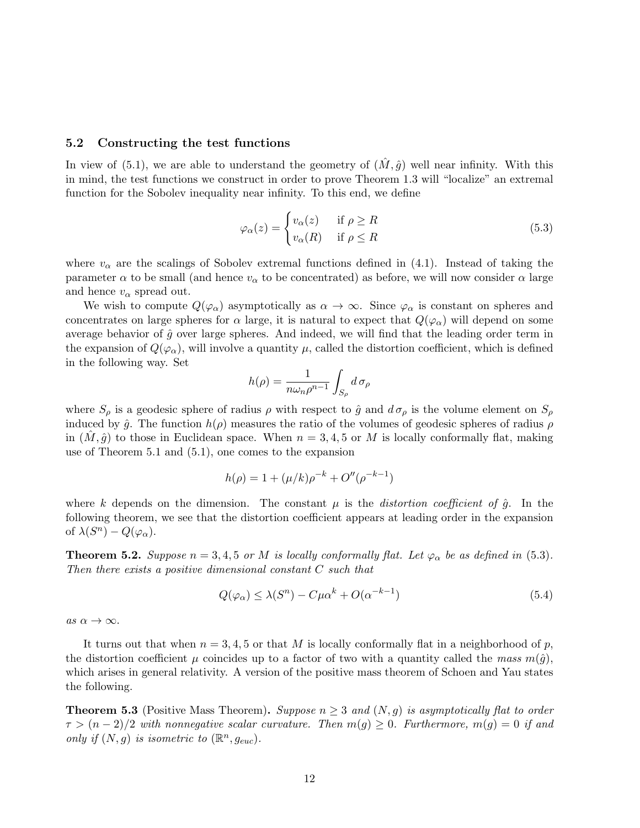#### 5.2 Constructing the test functions

In view of (5.1), we are able to understand the geometry of  $(\hat{M}, \hat{g})$  well near infinity. With this in mind, the test functions we construct in order to prove Theorem 1.3 will "localize" an extremal function for the Sobolev inequality near infinity. To this end, we define

$$
\varphi_{\alpha}(z) = \begin{cases} v_{\alpha}(z) & \text{if } \rho \ge R \\ v_{\alpha}(R) & \text{if } \rho \le R \end{cases}
$$
\n(5.3)

where  $v_{\alpha}$  are the scalings of Sobolev extremal functions defined in (4.1). Instead of taking the parameter  $\alpha$  to be small (and hence  $v_{\alpha}$  to be concentrated) as before, we will now consider  $\alpha$  large and hence  $v_{\alpha}$  spread out.

We wish to compute  $Q(\varphi_{\alpha})$  asymptotically as  $\alpha \to \infty$ . Since  $\varphi_{\alpha}$  is constant on spheres and concentrates on large spheres for  $\alpha$  large, it is natural to expect that  $Q(\varphi_{\alpha})$  will depend on some average behavior of  $\hat{g}$  over large spheres. And indeed, we will find that the leading order term in the expansion of  $Q(\varphi_\alpha)$ , will involve a quantity  $\mu$ , called the distortion coefficient, which is defined in the following way. Set

$$
h(\rho)=\frac{1}{n\omega_n\rho^{n-1}}\int_{S_\rho}d\,\sigma_\rho
$$

where  $S_\rho$  is a geodesic sphere of radius  $\rho$  with respect to  $\hat{g}$  and  $d\sigma_\rho$  is the volume element on  $S_\rho$ induced by  $\hat{g}$ . The function  $h(\rho)$  measures the ratio of the volumes of geodesic spheres of radius  $\rho$ in  $(M, \hat{q})$  to those in Euclidean space. When  $n = 3, 4, 5$  or M is locally conformally flat, making use of Theorem 5.1 and (5.1), one comes to the expansion

$$
h(\rho) = 1 + (\mu/k)\rho^{-k} + O''(\rho^{-k-1})
$$

where k depends on the dimension. The constant  $\mu$  is the *distortion coefficient of*  $\hat{g}$ . In the following theorem, we see that the distortion coefficient appears at leading order in the expansion of  $\lambda(S^n) - Q(\varphi_\alpha)$ .

**Theorem 5.2.** Suppose  $n = 3, 4, 5$  or M is locally conformally flat. Let  $\varphi_{\alpha}$  be as defined in (5.3). Then there exists a positive dimensional constant  $C$  such that

$$
Q(\varphi_{\alpha}) \le \lambda(S^n) - C\mu\alpha^k + O(\alpha^{-k-1})
$$
\n(5.4)

as  $\alpha \to \infty$ .

It turns out that when  $n = 3, 4, 5$  or that M is locally conformally flat in a neighborhood of p, the distortion coefficient  $\mu$  coincides up to a factor of two with a quantity called the mass  $m(\hat{q})$ , which arises in general relativity. A version of the positive mass theorem of Schoen and Yau states the following.

**Theorem 5.3** (Positive Mass Theorem). Suppose  $n \geq 3$  and  $(N, q)$  is asymptotically flat to order  $\tau > (n-2)/2$  with nonnegative scalar curvature. Then  $m(g) \geq 0$ . Furthermore,  $m(g) = 0$  if and only if  $(N, g)$  is isometric to  $(\mathbb{R}^n, g_{euc})$ .